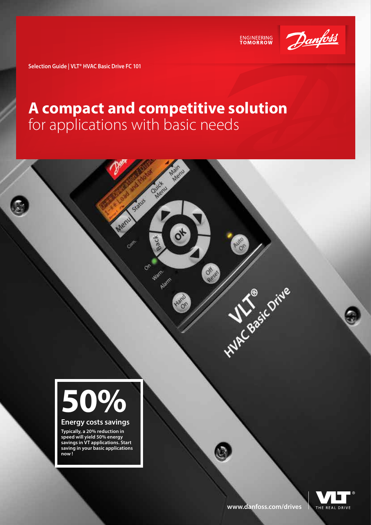

ENGINEERING<br>TOMORROW

**AUTO** 

ď

**All Seasic Drive** 

**Selection Guide | VLT® HVAC Basic Drive FC 101**

### **A compact and competitive solution** for applications with basic needs

**Ouick** 

**Rack** 

Warn.

Alarm

 $O_{6}$ 

Status

Menu

Con

Men

 $\sigma^*$ 



#### **Energy costs savings**

**Typically, a 20% reduction in speed will yield 50% energy savings in VT applications. Start saving in your basic applications now !**

**[www.danfoss.com/drives](http://www.danfoss.com/drives)**

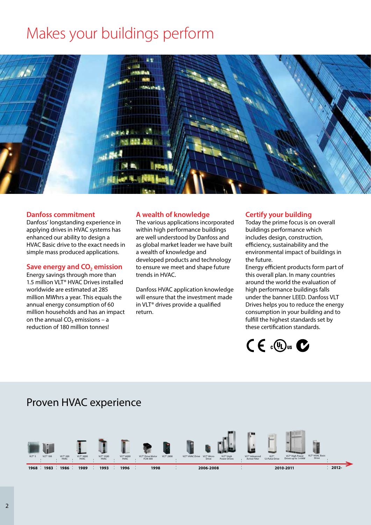# Makes your buildings perform



#### **Danfoss commitment**

Danfoss' longstanding experience in applying drives in HVAC systems has enhanced our ability to design a HVAC Basic drive to the exact needs in simple mass produced applications.

#### **Save energy and CO<sub>2</sub> emission**

Energy savings through more than 1.5 million VLT® HVAC Drives installed worldwide are estimated at 285 million MWhrs a year. This equals the annual energy consumption of 60 million households and has an impact on the annual  $CO<sub>2</sub>$  emissions – a reduction of 180 million tonnes!

#### **A wealth of knowledge**

The various applications incorporated within high performance buildings are well understood by Danfoss and as global market leader we have built a wealth of knowledge and developed products and technology to ensure we meet and shape future trends in HVAC.

Danfoss HVAC application knowledge will ensure that the investment made in VLT® drives provide a qualified return.

#### **Certify your building**

Today the prime focus is on overall buildings performance which includes design, construction, efficiency, sustainability and the environmental impact of buildings in the future.

Energy efficient products form part of this overall plan. In many countries around the world the evaluation of high performance buildings falls under the banner LEED. Danfoss VLT Drives helps you to reduce the energy consumption in your building and to fulfill the highest standards set by these certification standards.



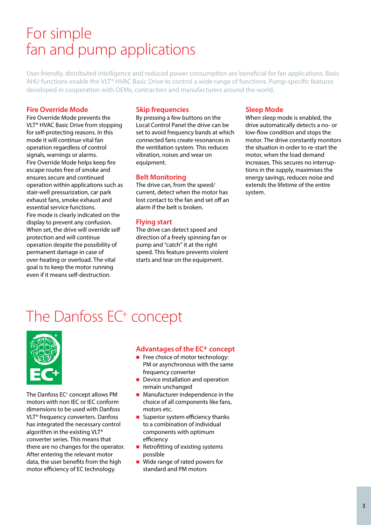### For simple fan and pump applications

User-friendly, distributed intelligence and reduced power consumption are beneficial for fan applications. Basic AHU functions enable the VLT® HVAC Basic Drive to control a wide range of functions. Pump-specific features developed in cooperation with OEMs, contractors and manufacturers around the world.

#### **Fire Override Mode**

Fire Override Mode prevents the VLT® HVAC Basic Drive from stopping for self-protecting reasons. In this mode it will continue vital fan operation regardless of control signals, warnings or alarms. Fire Override Mode helps keep fire escape routes free of smoke and ensures secure and continued operation within applications such as stair-well pressurization, car park exhaust fans, smoke exhaust and essential service functions. Fire mode is clearly indicated on the display to prevent any confusion. When set, the drive will override self protection and will continue operation despite the possibility of permanent damage in case of over-heating or overload. The vital goal is to keep the motor running even if it means self-destruction.

#### **Skip frequencies**

By pressing a few buttons on the Local Control Panel the drive can be set to avoid frequency bands at which connected fans create resonances in the ventilation system. This reduces vibration, noises and wear on equipment.

#### **Belt Monitoring**

The drive can, from the speed/ current, detect when the motor has lost contact to the fan and set off an alarm if the belt is broken.

#### **Flying start**

The drive can detect speed and direction of a freely spinning fan or pump and "catch" it at the right speed. This feature prevents violent starts and tear on the equipment.

#### **Sleep Mode**

When sleep mode is enabled, the drive automatically detects a no- or low-flow condition and stops the motor. The drive constantly monitors the situation in order to re-start the motor, when the load demand increases. This secures no interruptions in the supply, maximises the energy savings, reduces noise and extends the lifetime of the entire system.

### The Danfoss EC<sup>+</sup> concept



The Danfoss EC+ concept allows PM motors with non IEC or IEC conform dimensions to be used with Danfoss VLT® frequency converters. Danfoss has integrated the necessary control algorithm in the existing VLT® converter series. This means that there are no changes for the operator. After entering the relevant motor data, the user benefits from the high motor efficiency of EC technology.

#### **Advantages of the EC+ concept**

- $\blacksquare$  Free choice of motor technology: PM or asynchronous with the same frequency converter
- $\blacksquare$  Device installation and operation remain unchanged
- $\blacksquare$  Manufacturer independence in the choice of all components like fans, motors etc.
- Superior system efficiency thanks to a combination of individual components with optimum efficiency
- $\blacksquare$  Retrofitting of existing systems possible
- $\blacksquare$  Wide range of rated powers for standard and PM motors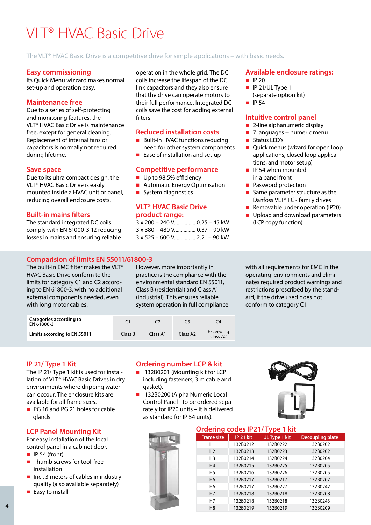# VLT® HVAC Basic Drive

#### The VLT® HVAC Basic Drive is a competitive drive for simple applications – with basic needs.

#### **Easy commissioning**

Its Quick Menu wizzard makes normal set-up and operation easy.

#### **Maintenance free**

Due to a series of self-protecting and monitoring features, the VLT® HVAC Basic Drive is maintenance free, except for general cleaning. Replacement of internal fans or capacitors is normally not required during lifetime.

#### **Save space**

Due to its ultra compact design, the VLT® HVAC Basic Drive is easily mounted inside a HVAC unit or panel, reducing overall enclosure costs.

#### **Built-in mains filters**

The standard integrated DC coils comply with EN 61000-3-12 reducing losses in mains and ensuring reliable

#### **Comparision of limits EN 55011/61800-3**

The built-in EMC filter makes the VLT® HVAC Basic Drive conform to the limits for category C1 and C2 according to EN 61800-3, with no additional external components needed, even with long motor cables.

operation in the whole grid. The DC coils increase the lifespan of the DC link capacitors and they also ensure that the drive can operate motors to their full performance. Integrated DC coils save the cost for adding external filters.

#### **Reduced installation costs**

- Built-in HVAC functions reducing need for other system components
- $\blacksquare$  Ease of installation and set-up

#### **Competitive performance**

- Up to 98.5% efficiency
- Automatic Energy Optimisation
- **n** System diagnostics

#### **VLT® HVAC Basic Drive product range:**

| 3 x 200 - 240 V 0.25 - 45 kW       |  |
|------------------------------------|--|
| 3 x 380 - 480 V 0.37 - 90 kW       |  |
| $3 \times 525 - 600$ V 2.2 – 90 kW |  |

#### **Available enclosure ratings:**

- $\blacksquare$  IP 20
- $\blacksquare$  IP 21/UL Type 1 (separate option kit)
- $\blacksquare$  IP 54

#### **Intuitive control panel**

- $\blacksquare$  2-line alphanumeric display
- $\blacksquare$  7 languages + numeric menu
- Status LED's
- Quick menus (wizard for open loop applications, closed loop applications, and motor setup)
- $\blacksquare$  IP 54 when mounted in a panel front
- **n** Password protection
- Same parameter structure as the Danfoss VLT® FC - family drives
- Removable under operation (IP20)
- **n** Upload and download parameters (LCP copy function)

However, more importantly in practice is the compliance with the environmental standard EN 55011, Class B (residential) and Class A1 (industrial). This ensures reliable system operation in full compliance with all requirements for EMC in the operating environments and eliminates required product warnings and restrictions prescribed by the standard, if the drive used does not conform to category C1.

| Categories according to<br>EN 61800-3 |         |          |                      | C4                                |
|---------------------------------------|---------|----------|----------------------|-----------------------------------|
| Limits according to EN 55011          | Class B | Class A1 | Class A <sub>2</sub> | Exceeding<br>class A <sub>2</sub> |

#### **IP 21/ Type 1 Kit**

The IP 21/ Type 1 kit is used for installation of VLT® HVAC Basic Drives in dry environments where dripping water can occour. The enclosure kits are available for all frame sizes.

■ PG 16 and PG 21 holes for cable glands

#### **LCP Panel Mounting Kit**

For easy installation of the local control panel in a cabinet door.

- $\blacksquare$  IP 54 (front)
- n Thumb screws for tool-free installation
- $\blacksquare$  Incl. 3 meters of cables in industry quality (also available separately)
- $\blacksquare$  Easy to install

#### **Ordering number LCP & kit**

- 132B0201 (Mounting kit for LCP including fasteners, 3 m cable and gasket).
- 132B0200 (Alpha Numeric Local Control Panel - to be ordered separately for IP20 units – it is delivered as standard for IP 54 units).



#### **Ordering codes IP21/ Type 1 kit**

| <b>Frame size</b> | IP 21 kit | UL Type 1 kit | <b>Decoupling plate</b> |
|-------------------|-----------|---------------|-------------------------|
| H1                | 132B0212  | 132B0222      | 132B0202                |
| H <sub>2</sub>    | 132B0213  | 132B0223      | 132B0202                |
| H <sub>3</sub>    | 132B0214  | 132B0224      | 132B0204                |
| H <sub>4</sub>    | 132B0215  | 132B0225      | 132B0205                |
| H <sub>5</sub>    | 132B0216  | 132B0226      | 132B0205                |
| H <sub>6</sub>    | 132B0217  | 132B0217      | 132B0207                |
| H <sub>6</sub>    | 132B0217  | 132B0227      | 132B0242                |
| H <sub>7</sub>    | 132B0218  | 132B0218      | 132B0208                |
| H7                | 132B0218  | 132B0218      | 132B0243                |
| H <sub>8</sub>    | 132B0219  | 132B0219      | 132B0209                |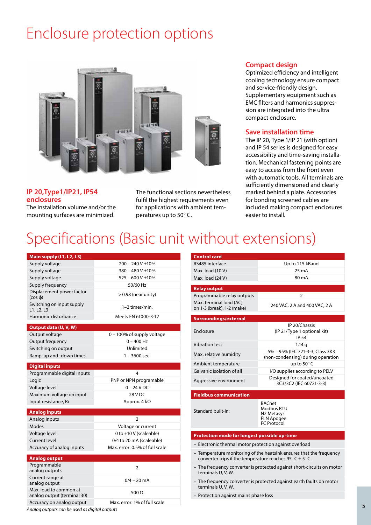## Enclosure protection options



#### **IP 20,Type1/IP21, IP54 enclosures**

The installation volume and/or the mounting surfaces are minimized.

The functional sections nevertheless fulfil the highest requirements even for applications with ambient temperatures up to 50° C.

#### **Compact design**

Optimized efficiency and intelligent cooling technology ensure compact and service-friendly design. Supplementary equipment such as EMC filters and harmonics suppression are integrated into the ultra compact enclosure.

#### **Save installation time**

The IP 20, Type 1/IP 21 (with option) and IP 54 series is designed for easy accessibility and time-saving installation. Mechanical fastening points are easy to access from the front even with automatic tools. All terminals are sufficiently dimensioned and clearly marked behind a plate. Accessories for bonding screened cables are included making compact enclosures easier to install.

### Specifications (Basic unit without extensions)

| Main supply (L1, L2, L3)                              |                                |
|-------------------------------------------------------|--------------------------------|
| Supply voltage                                        | $200 - 240$ V $\pm$ 10%        |
| Supply voltage                                        | $380 - 480 V + 10%$            |
| Supply voltage                                        | $525 - 600 V \pm 10%$          |
| Supply frequency                                      | 50/60 Hz                       |
| Displacement power factor<br>$(cos \phi)$             | $>0.98$ (near unity)           |
| Switching on input supply<br>L1, L2, L3               | 1-2 times/min.                 |
| Harmonic disturbance                                  | Meets EN 61000-3-12            |
| Output data (U, V, W)                                 |                                |
| Output voltage                                        | 0 – 100% of supply voltage     |
| Output frequency                                      | $0 - 400$ Hz                   |
| Switching on output                                   | Unlimited                      |
| Ramp-up and -down times                               | 1 – 3600 sec.                  |
|                                                       |                                |
| <b>Digital inputs</b><br>Programmable digital inputs  | 4                              |
| Logic                                                 | PNP or NPN programable         |
| Voltage level                                         | $0 - 24$ V DC                  |
| Maximum voltage on input                              | 28 V DC                        |
| Input resistance, Ri                                  | Approx. $4 k\Omega$            |
|                                                       |                                |
| <b>Analog inputs</b>                                  |                                |
| Analog inputs                                         | $\overline{2}$                 |
| Modes                                                 | Voltage or current             |
| Voltage level                                         | 0 to +10 V (scaleable)         |
| Current level                                         | 0/4 to 20 mA (scaleable)       |
| Accuracy of analog inputs                             | Max. error: 0.5% of full scale |
| <b>Analog output</b>                                  |                                |
| Programmable<br>analog outputs                        | 2                              |
| Current range at<br>analog output                     | $0/4 - 20$ mA                  |
| Max. load to common at<br>analog output (terminal 30) | 500 $\Omega$                   |
| Accuracy on analog output                             | Max. error: 1% of full scale   |

| <b>Control card</b>                                                            |                                                                        |
|--------------------------------------------------------------------------------|------------------------------------------------------------------------|
| RS485 interface                                                                | Up to 115 kBaud                                                        |
| Max. load (10 V)                                                               | 25 mA                                                                  |
| Max. load (24 V)                                                               | 80 m A                                                                 |
| <b>Relay output</b>                                                            |                                                                        |
| Programmable relay outputs                                                     | $\overline{2}$                                                         |
| Max. terminal load (AC)                                                        |                                                                        |
| on 1-3 (break), 1-2 (make)                                                     | 240 VAC, 2 A and 400 VAC, 2 A                                          |
|                                                                                |                                                                        |
| <b>Surroundings/external</b>                                                   |                                                                        |
| Enclosure                                                                      | IP 20/Chassis                                                          |
|                                                                                | (IP 21/Type 1 optional kit)<br>IP 54                                   |
| <b>Vibration test</b>                                                          | 1.14q                                                                  |
|                                                                                | 5% – 95% (IEC 721-3-3; Class 3K3                                       |
| Max. relative humidity                                                         | (non-condensing) during operation                                      |
| Ambient temperature                                                            | up to 50°C                                                             |
| Galvanic isolation of all                                                      | I/O supplies according to PELV                                         |
| Aggressive environment                                                         | Designed for coated/uncoated                                           |
|                                                                                | 3C3/3C2 (IEC 60721-3-3)                                                |
| <b>Fieldbus communication</b>                                                  |                                                                        |
|                                                                                | <b>BACnet</b>                                                          |
| Standard built-in:                                                             | Modbus RTU                                                             |
|                                                                                | N <sub>2</sub> Metasys                                                 |
|                                                                                | FLN Apogee<br><b>FC</b> Protocol                                       |
|                                                                                |                                                                        |
| Protection mode for longest possible up-time                                   |                                                                        |
| - Electronic thermal motor protection against overload                         |                                                                        |
| converter trips if the temperature reaches 95 $\degree$ C $\pm$ 5 $\degree$ C. | - Temperature monitoring of the heatsink ensures that the frequency    |
| terminals U, V, W.                                                             | - The frequency converter is protected against short-circuits on motor |
| terminals U, V, W.                                                             | - The frequency converter is protected against earth faults on motor   |
| - Protection against mains phase loss                                          |                                                                        |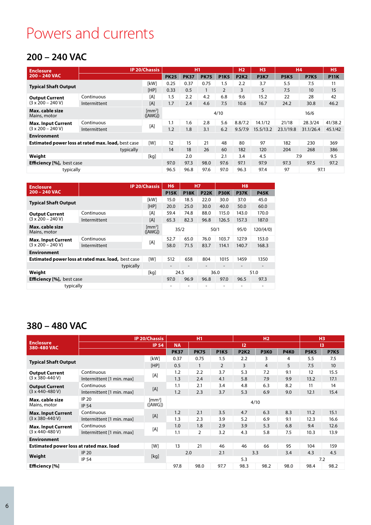## Powers and currents

### **200 – 240 VAC**

| <b>Enclosure</b>                 |                                                           | <b>IP 20/Chassis</b>        |             | <b>H1</b>                |             |                | H <sub>2</sub> | H <sub>3</sub> | <b>H4</b>   |                  | <b>H5</b>   |
|----------------------------------|-----------------------------------------------------------|-----------------------------|-------------|--------------------------|-------------|----------------|----------------|----------------|-------------|------------------|-------------|
| $200 - 240$ VAC                  |                                                           |                             | <b>PK25</b> | <b>PK37</b>              | <b>PK75</b> | <b>P1K5</b>    | <b>P2K2</b>    | <b>P3K7</b>    | <b>P5K5</b> | <b>P7K5</b>      | <b>P11K</b> |
|                                  |                                                           | [kW]                        | 0.25        | 0.37                     | 0.75        | 1.5            | 2.2            | 3.7            | 5.5         | 7.5              | 11          |
| <b>Typical Shaft Output</b>      |                                                           | [HP]                        | 0.33        | 0.5                      | 1           | $\overline{2}$ | 3              | 5              | 7.5         | 10 <sup>10</sup> | 15          |
| <b>Output Current</b>            | Continuous                                                | [A]                         | 1.5         | 2.2                      | 4.2         | 6.8            | 9.6            | 15.2           | 22          | 28               | 42          |
| $(3 \times 200 - 240 V)$         | Intermittent                                              | [A]                         | 1.7         | 2.4                      | 4.6         | 7.5            | 10.6           | 16.7           | 24.2        | 30.8             | 46.2        |
| Max. cable size<br>Mains, motor  |                                                           | $\mathrm{Im}m^2$<br>(IAWG]) |             | 4/10                     |             |                |                |                |             |                  |             |
| <b>Max. Input Current</b>        | Continuous                                                |                             | 1.1         | 1.6                      | 2.8         | 5.6            | 8.8/7.2        | 14.1/12        | 21/18       | 28.3/24          | 41/38.2     |
| $(3 \times 200 - 240 V)$         | Intermittent                                              | [A]                         | 1.2         | 1.8                      | 3.1         | 6.2            | 9.5/7.9        | 15.5/13.2      | 23.1/19.8   | 31.1/26.4        | 45.1/42     |
| <b>Environment</b>               |                                                           |                             |             |                          |             |                |                |                |             |                  |             |
|                                  | <b>Estimated power loss at rated max. load, best case</b> | [W]                         | 12          | 15                       | 21          | 48             | 80             | 97             | 182         | 230              | 369         |
|                                  | typically                                                 |                             | 14          | 18                       | 26          | 60             | 182            | 120            | 204         | 268              | 386         |
| Weight                           |                                                           | [kg]                        |             | 3.4<br>4.5<br>2.0<br>2.1 |             | 7.9            |                | 9.5            |             |                  |             |
| <b>Efficiency</b> [%], best case |                                                           |                             | 97.0        | 97.3                     | 98.0        | 97.6           | 97.1           | 97.9           | 97.3        | 97.5             | 97.2        |
| typically                        |                                                           |                             | 96.5        | 96.8                     | 97.6        | 97.0           | 96.3           | 97.4           | 97          | 97.1             |             |

| <b>Enclosure</b>                 |                                                           | <b>IP 20/Chassis</b>         | <b>H6</b>                    | <b>H7</b>   |             | H <sub>8</sub> |             |                          |
|----------------------------------|-----------------------------------------------------------|------------------------------|------------------------------|-------------|-------------|----------------|-------------|--------------------------|
| 200 - 240 VAC                    |                                                           |                              | <b>P15K</b>                  | <b>P18K</b> | <b>P22K</b> | <b>P30K</b>    | <b>P37K</b> | <b>P45K</b>              |
|                                  |                                                           | [kW]                         | 15.0                         | 18.5        | 22.0        | 30.0           | 37.0        | 45.0                     |
| <b>Typical Shaft Output</b>      |                                                           | [HP]                         | 20.0                         | 25.0        | 30.0        | 40.0           | 50.0        | 60.0                     |
| <b>Output Current</b>            | Continuous                                                | [A]                          | 59.4                         | 74.8        | 88.0        | 115.0          | 143.0       | 170.0                    |
| $(3 \times 200 - 240 V)$         | Intermittent                                              | [A]                          | 65.3                         | 82.3        | 96.8        | 126.5          | 157.3       | 187.0                    |
| Max. cable size<br>Mains, motor  |                                                           | $\mathrm{[mm^2]}$<br>([AWG]) |                              | 35/2        | 50/1        |                | 95/0        | 120/(4/0)                |
| <b>Max. Input Current</b>        | Continuous                                                |                              | 52.7                         | 65.0        | 76.0        | 103.7          | 127.9       | 153.0                    |
| $(3 \times 200 - 240 V)$         | Intermittent                                              | [A]                          | 58.0                         | 71.5        | 83.7        | 114.1          | 140.7       | 168.3                    |
| <b>Environment</b>               |                                                           |                              |                              |             |             |                |             |                          |
|                                  | <b>Estimated power loss at rated max. load, best case</b> | <b>IW1</b>                   | 512                          | 658         | 804         | 1015           | 1459        | 1350                     |
|                                  | typically                                                 |                              | $\qquad \qquad \blacksquare$ |             | -           |                |             | $\overline{\phantom{0}}$ |
| Weight                           |                                                           | [kq]                         |                              | 24.5        |             | 36.0           |             | 51.0                     |
| <b>Efficiency</b> [%], best case |                                                           |                              | 97.0                         | 96.9        | 96.8        | 97.0           | 96.5        | 97.3                     |
| typically                        |                                                           |                              | ٠                            |             |             |                | ۰           |                          |

### **380 – 480 VAC**

|                                                                 |                           | <b>IP 20/Chassis</b>               |             | H1          |                | H <sub>2</sub> |             |             | H <sub>3</sub> |             |
|-----------------------------------------------------------------|---------------------------|------------------------------------|-------------|-------------|----------------|----------------|-------------|-------------|----------------|-------------|
| <b>Enclosure</b><br>380-480 VAC                                 |                           | <b>IP 54</b>                       | <b>NA</b>   |             |                | 12             |             |             | 13             |             |
|                                                                 |                           |                                    | <b>PK37</b> | <b>PK75</b> | <b>P1K5</b>    | <b>P2K2</b>    | <b>P3K0</b> | <b>P4K0</b> | <b>P5K5</b>    | <b>P7K5</b> |
| <b>Typical Shaft Output</b>                                     |                           | [kW]                               | 0.37        | 0.75        | 1.5            | 2.2            | 3           | 4           | 5.5            | 7.5         |
|                                                                 |                           | [HP]                               | 0.5         | 1           | $\overline{2}$ | 3              | 4           | 5           | 7.5            | 10          |
| <b>Output Current</b>                                           | Continuous                | [A]                                | 1.2         | 2.2         | 3.7            | 5.3            | 7.2         | 9.1         | 12             | 15.5        |
| $(3 \times 380 - 440 V)$                                        | Intermittent [1 min. max] |                                    | 1.3         | 2.4         | 4.1            | 5.8            | 7.9         | 9.9         | 13.2           | 17.1        |
| Continuous<br><b>Output Current</b><br>$(3 \times 440 - 480 V)$ |                           | [A]                                | 1.1         | 2.1         | 3.4            | 4.8            | 6.3         | 8.2         | 11             | 14          |
|                                                                 | Intermittent [1 min. max] |                                    | 1.2         | 2.3         | 3.7            | 5.3            | 6.9         | 9.0         | 12.1           | 15.4        |
| Max. cable size                                                 | <b>IP 20</b>              | $\left[\text{mm}^2\right]$<br>4/10 |             |             |                |                |             |             |                |             |
| Mains, motor                                                    | <b>IP 54</b>              | ([AWG])                            |             |             |                |                |             |             |                |             |
| <b>Max. Input Current</b>                                       | Continuous                | [A]                                | 1.2         | 2.1         | 3.5            | 4.7            | 6.3         | 8.3         | 11.2           | 15.1        |
| $(3 \times 380 - 440 V)$                                        | Intermittent [1 min. max] |                                    | 1.3         | 2.3         | 3.9            | 5.2            | 6.9         | 9.1         | 12.3           | 16.6        |
| <b>Max. Input Current</b>                                       | Continuous                |                                    | 1.0         | 1.8         | 2.9            | 3.9            | 5.3         | 6.8         | 9.4            | 12.6        |
| $(3 \times 440 - 480 V)$                                        | Intermittent [1 min. max] | [A]                                | 1.1         | 2           | 3.2            | 4.3            | 5.8         | 7.5         | 10.3           | 13.9        |
| <b>Environment</b>                                              |                           |                                    |             |             |                |                |             |             |                |             |
| Estimated power loss at rated max. load                         |                           | [W]                                | 13          | 21          | 46             | 46             | 66          | 95          | 104            | 159         |
|                                                                 | <b>IP 20</b>              |                                    |             | 2.0         | 2.1            | 3.3            |             | 3.4         | 4.3            | 4.5         |
| Weight                                                          | <b>IP 54</b>              | [kg]                               |             |             |                | 5.3            |             |             | 7.2            |             |
| <b>Efficiency</b> [%]                                           |                           |                                    | 97.8        | 98.0        | 97.7           | 98.3           | 98.2        | 98.0        | 98.4           | 98.2        |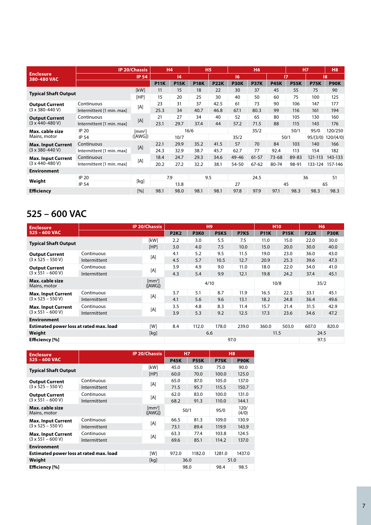|                                 | <b>IP 20/Chassis</b>      |                             | H <sub>4</sub> |             |             | <b>H5</b>   | <b>H6</b>   |             |             | <b>H7</b>   |             | <b>H8</b>   |  |
|---------------------------------|---------------------------|-----------------------------|----------------|-------------|-------------|-------------|-------------|-------------|-------------|-------------|-------------|-------------|--|
| <b>Enclosure</b><br>380-480 VAC |                           | <b>IP 54</b>                |                | 4           |             | 16          |             |             |             | 17          |             | 8           |  |
|                                 |                           |                             | <b>P11K</b>    | <b>P15K</b> | <b>P18K</b> | <b>P22K</b> | <b>P30K</b> | <b>P37K</b> | <b>P45K</b> | <b>P55K</b> | <b>P75K</b> | <b>P90K</b> |  |
| <b>Typical Shaft Output</b>     |                           | [kW]                        | 11             | 15          | 18          | 22          | 30          | 37          | 45          | 55          | 75          | 90          |  |
|                                 |                           | [HP]                        | 15             | 20          | 25          | 30          | 40          | 50          | 60          | 75          | 100         | 125         |  |
| <b>Output Current</b>           | Continuous                | [A]                         | 23             | 31          | 37          | 42.5        | 61          | 73          | 90          | 106         | 147         | 177         |  |
| $(3 \times 380 - 440 V)$        | Intermittent [1 min. max] |                             | 25.3           | 34          | 40.7        | 46.8        | 67.1        | 80.3        | 99          | 116         | 161         | 194         |  |
| <b>Output Current</b>           | Continuous                | [A]                         | 21             | 27          | 34          | 40          | 52          | 65          | 80          | 105         | 130         | 160         |  |
| $(3 \times 440 - 480 V)$        | Intermittent [1 min. max] |                             | 23.1           | 29.7        | 37.4        | 44          | 57.2        | 71.5        | 88          | 115         | 143         | 176         |  |
| Max. cable size                 | <b>IP 20</b>              | $\mathrm{Im}\,\mathrm{m}^2$ | 16/6           |             |             |             | 35/2        |             |             | 50/1        | 95/0        | 120/250     |  |
| Mains, motor                    | <b>IP 54</b>              | ([AWG])                     | 10/7           |             |             |             | 35/2        |             |             | 50/1        | 95/(3/0)    | 120/(4/0)   |  |
| <b>Max. Input Current</b>       | Continuous                | [A]                         | 22.1           | 29.9        | 35.2        | 41.5        | 57          | 70          | 84          | 103         | 140         | 166         |  |
| $(3 \times 380 - 440 V)$        | Intermittent [1 min. max] |                             | 24.3           | 32.9        | 38.7        | 45.7        | 62.7        | 77          | 92.4        | 113         | 154         | 182         |  |
| <b>Max. Input Current</b>       | Continuous                | [A]                         | 18.4           | 24.7        | 29.3        | 34.6        | 49-46       | $61 - 57$   | $73 - 68$   | 89-83       | 121-113     | 143-133     |  |
| $(3 \times 440 - 480 V)$        | Intermittent [1 min. max] |                             | 20.2           | 27.2        | 32.2        | 38.1        | 54-50       | $67 - 62$   | 80-74       | 98-91       | 133-124     | 157-146     |  |
| <b>Environment</b>              |                           |                             |                |             |             |             |             |             |             |             |             |             |  |
| Weight                          | <b>IP 20</b>              | [kq]                        |                | 7.9         |             | 9.5         | 24.5        |             | 36          |             |             | 51          |  |
|                                 | <b>IP 54</b>              |                             |                | 13.8        |             |             | 27          |             |             | 45          | 65          |             |  |
| <b>Efficiency</b>               |                           | [%]                         | 98.1           | 98.0        | 98.1        | 98.1        | 97.8        | 97.9        | 97.1        | 98.3        | 98.3        | 98.3        |  |

### **525 – 600 VAC**

| <b>Enclosure</b>                                  |              | <b>IP 20/Chassis</b>         |             | H <sub>9</sub> |             |             | <b>H10</b>  |             | <b>H6</b>   |             |
|---------------------------------------------------|--------------|------------------------------|-------------|----------------|-------------|-------------|-------------|-------------|-------------|-------------|
| 525 - 600 VAC                                     |              |                              | <b>P2K2</b> | <b>P3K0</b>    | <b>P5K5</b> | <b>P7K5</b> | <b>P11K</b> | <b>P15K</b> | <b>P22K</b> | <b>P30K</b> |
| <b>Typical Shaft Output</b>                       |              | [kW]                         | 2.2         | 3.0            | 5.5         | 7.5         | 11.0        | 15.0        | 22.0        | 30.0        |
|                                                   |              | [HP]                         | 3.0         | 4.0            | 7.5         | 10.0        | 15.0        | 20.0        | 30.0        | 40.0        |
| <b>Output Current</b><br>$(3 \times 525 - 550 V)$ | Continuous   |                              | 4.1         | 5.2            | 9.5         | 11.5        | 19.0        | 23.0        | 36.0        | 43.0        |
|                                                   | Intermittent | [A]                          | 4.5         | 5.7            | 10.5        | 12.7        | 20.9        | 25.3        | 39.6        | 47.3        |
| <b>Output Current</b><br>$(3 \times 551 - 600 V)$ | Continuous   |                              | 3.9         | 4.9            | 9.0         | 11.0        | 18.0        | 22.0        | 34.0        | 41.0        |
|                                                   | Intermittent | [A]                          | 4.3         | 5.4            | 9.9         | 12.1        | 19.8        | 24.2        | 37.4        | 45.1        |
| Max. cable size<br>Mains, motor                   |              | $\mathrm{[mm^2]}$<br>([AWG]) |             | 4/10           |             |             | 10/8        |             | 35/2        |             |
| <b>Max. Input Current</b>                         | Continuous   |                              | 3.7         | 5.1            | 8.7         | 11.9        | 16.5        | 22.5        | 33.1        | 45.1        |
| $(3 \times 525 - 550 V)$                          | Intermittent | [A]                          | 4.1         | 5.6            | 9.6         | 13.1        | 18.2        | 24.8        | 36.4        | 49.6        |
| <b>Max. Input Current</b>                         | Continuous   | [A]                          | 3.5         | 4.8            | 8.3         | 11.4        | 15.7        | 21.4        | 31.5        | 42.9        |
| $(3 \times 551 - 600 \text{ V})$                  | Intermittent |                              | 3.9         | 5.3            | 9.2         | 12.5        | 17.3        | 23.6        | 34.6        | 47.2        |
| <b>Environment</b>                                |              |                              |             |                |             |             |             |             |             |             |
| Estimated power loss at rated max. load           |              | [W]                          | 8.4         | 112.0          | 178.0       | 239.0       | 360.0       | 503.0       | 607.0       | 820.0       |
| Weight                                            |              | [kg]                         | 6.6         |                |             |             | 11.5        |             | 24.5        |             |
| <b>Efficiency</b> [%]                             |              |                              | 97.0        |                |             |             |             |             | 97.5        |             |

| <b>Enclosure</b>                        |              | <b>IP 20/Chassis</b>    | <b>H7</b>   |             | H <sub>8</sub> |               |  |
|-----------------------------------------|--------------|-------------------------|-------------|-------------|----------------|---------------|--|
| 525 - 600 VAC                           |              |                         | <b>P45K</b> | <b>P55K</b> | <b>P75K</b>    | <b>P90K</b>   |  |
| <b>Typical Shaft Output</b>             |              | [kW]                    | 45.0        | 55.0        | 75.0           | 90.0          |  |
|                                         |              | [HP]                    | 60.0        | 70.0        | 100.0          | 125.0         |  |
| <b>Output Current</b>                   | Continuous   | [A]                     | 65.0        | 87.0        | 105.0          | 137.0         |  |
| $(3 \times 525 - 550 V)$                | Intermittent |                         | 71.5        | 95.7        | 115.5          | 150.7         |  |
| <b>Output Current</b>                   | Continuous   | [A]                     | 62.0        | 83.0        | 100.0          | 131.0         |  |
| $(3 \times 551 - 600 V)$                | Intermittent |                         | 68.2        | 91.3        | 110.0          | 144.1         |  |
| Max. cable size<br>Mains, motor         |              | $\rm [mm^2]$<br>([AWG]) | 50/1        |             | 95/0           | 120/<br>(4/0) |  |
| <b>Max. Input Current</b>               | Continuous   |                         | 66.5        | 81.3        | 109.0          | 130.9         |  |
| $(3 \times 525 - 550 V)$                | Intermittent | [A]                     | 73.1        | 89.4        | 119.9          | 143.9         |  |
| <b>Max. Input Current</b>               | Continuous   | [A]                     | 63.3        | 77.4        | 103.8          | 124.5         |  |
| $(3 \times 551 - 600 V)$                | Intermittent |                         | 69.6        | 85.1        | 114.2          | 137.0         |  |
| <b>Environment</b>                      |              |                         |             |             |                |               |  |
| Estimated power loss at rated max. load |              | [W]                     | 972.0       | 1182.0      | 1281.0         | 1437.0        |  |
| Weight                                  |              | [kg]                    | 36.0        |             | 51.0           |               |  |
| Efficiency [%]                          |              |                         | 98.0        |             | 98.4           | 98.5          |  |